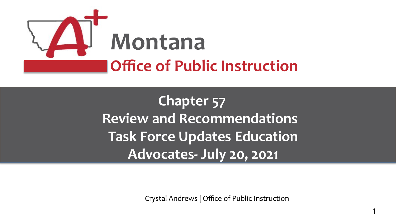

**Chapter 57 Review and Recommendations Task Force Updates Education Advocates- July 20, 2021**

Crystal Andrews | Office of Public Instruction

1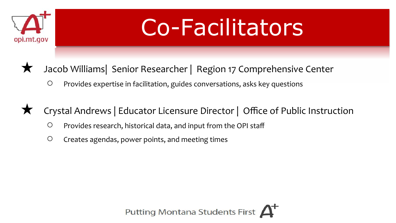

## Co-Facilitators

- Jacob Williams| Senior Researcher | Region 17 Comprehensive Center
	- Provides expertise in facilitation, guides conversations, asks key questions
- Crystal Andrews | Educator Licensure Director | Office of Public Instruction
	- Provides research, historical data, and input from the OPI staff
	- Creates agendas, power points, and meeting times

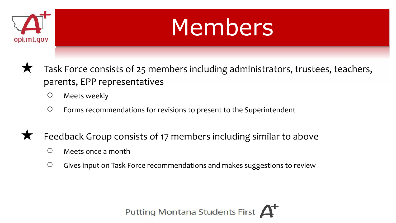

## Members

- Task Force consists of 25 members including administrators, trustees, teachers, parents, EPP representatives
	- Meets weekly
	- Forms recommendations for revisions to present to the Superintendent
- Feedback Group consists of 17 members including similar to above
	- Meets once a month
	- Gives input on Task Force recommendations and makes suggestions to review

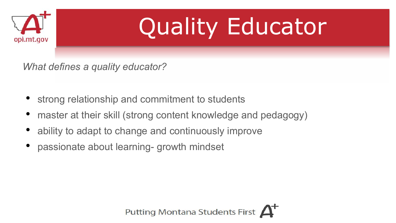

## Quality Educator

*What defines a quality educator?*

- strong relationship and commitment to students
- master at their skill (strong content knowledge and pedagogy)
- ability to adapt to change and continuously improve
- passionate about learning- growth mindset

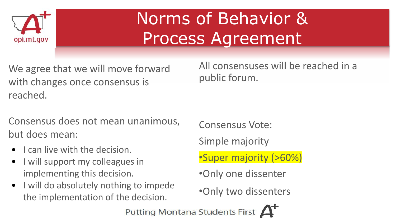

## Norms of Behavior & Process Agreement

We agree that we will move forward with changes once consensus is reached.

All consensuses will be reached in a public forum.

Consensus does not mean unanimous, but does mean:

- I can live with the decision.
- I will support my colleagues in implementing this decision.
- I will do absolutely nothing to impede the implementation of the decision.

Consensus Vote:

Simple majority

•Super majority (>60%)

•Only one dissenter

•Only two dissenters

Putting Montana Students First A+